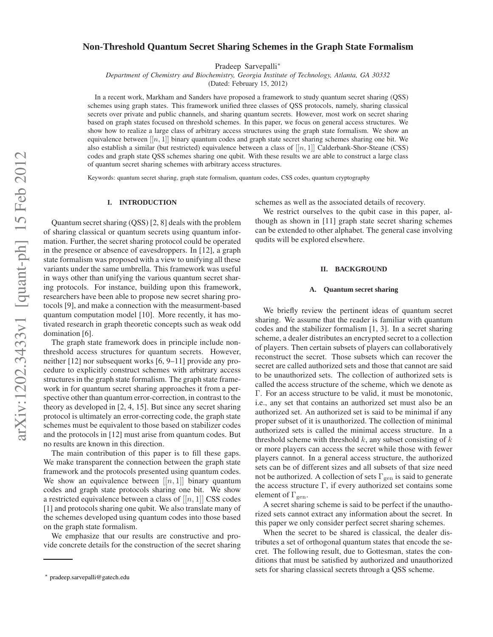# **Non-Threshold Quantum Secret Sharing Schemes in the Graph State Formalism**

Pradeep Sarvepalli<sup>∗</sup>

*Department of Chemistry and Biochemistry, Georgia Institute of Technology, Atlanta, GA 30332*

(Dated: February 15, 2012)

In a recent work, Markham and Sanders have proposed a framework to study quantum secret sharing (QSS) schemes using graph states. This framework unified three classes of QSS protocols, namely, sharing classical secrets over private and public channels, and sharing quantum secrets. However, most work on secret sharing based on graph states focused on threshold schemes. In this paper, we focus on general access structures. We show how to realize a large class of arbitrary access structures using the graph state formalism. We show an equivalence between  $[[n, 1]]$  binary quantum codes and graph state secret sharing schemes sharing one bit. We also establish a similar (but restricted) equivalence between a class of  $[[n, 1]]$  Calderbank-Shor-Steane (CSS) codes and graph state QSS schemes sharing one qubit. With these results we are able to construct a large class of quantum secret sharing schemes with arbitrary access structures.

Keywords: quantum secret sharing, graph state formalism, quantum codes, CSS codes, quantum cryptography

#### **I. INTRODUCTION**

Quantum secret sharing (QSS) [2, 8] deals with the problem of sharing classical or quantum secrets using quantum information. Further, the secret sharing protocol could be operated in the presence or absence of eavesdroppers. In [12], a graph state formalism was proposed with a view to unifying all these variants under the same umbrella. This framework was useful in ways other than unifying the various quantum secret sharing protocols. For instance, building upon this framework, researchers have been able to propose new secret sharing protocols [9], and make a connection with the measurment-based quantum computation model [10]. More recently, it has motivated research in graph theoretic concepts such as weak odd domination [6].

The graph state framework does in principle include nonthreshold access structures for quantum secrets. However, neither [12] nor subsequent works [6, 9–11] provide any procedure to explicitly construct schemes with arbitrary access structures in the graph state formalism. The graph state framework in for quantum secret sharing approaches it from a perspective other than quantum error-correction, in contrast to the theory as developed in [2, 4, 15]. But since any secret sharing protocol is ultimately an error-correcting code, the graph state schemes must be equivalent to those based on stabilizer codes and the protocols in [12] must arise from quantum codes. But no results are known in this direction.

The main contribution of this paper is to fill these gaps. We make transparent the connection between the graph state framework and the protocols presented using quantum codes. We show an equivalence between  $[[n, 1]]$  binary quantum codes and graph state protocols sharing one bit. We show a restricted equivalence between a class of  $[[n, 1]]$  CSS codes [1] and protocols sharing one qubit. We also translate many of the schemes developed using quantum codes into those based on the graph state formalism.

We emphasize that our results are constructive and provide concrete details for the construction of the secret sharing schemes as well as the associated details of recovery.

We restrict ourselves to the qubit case in this paper, although as shown in [11] graph state secret sharing schemes can be extended to other alphabet. The general case involving qudits will be explored elsewhere.

### **II. BACKGROUND**

### **A. Quantum secret sharing**

We briefly review the pertinent ideas of quantum secret sharing. We assume that the reader is familiar with quantum codes and the stabilizer formalism [1, 3]. In a secret sharing scheme, a dealer distributes an encrypted secret to a collection of players. Then certain subsets of players can collaboratively reconstruct the secret. Those subsets which can recover the secret are called authorized sets and those that cannot are said to be unauthorized sets. The collection of authorized sets is called the access structure of the scheme, which we denote as Γ. For an access structure to be valid, it must be monotonic, i.e., any set that contains an authorized set must also be an authorized set. An authorized set is said to be minimal if any proper subset of it is unauthorized. The collection of minimal authorized sets is called the minimal access structure. In a threshold scheme with threshold  $k$ , any subset consisting of  $k$ or more players can access the secret while those with fewer players cannot. In a general access structure, the authorized sets can be of different sizes and all subsets of that size need not be authorized. A collection of sets  $\Gamma_{\text{gen}}$  is said to generate the access structure  $\Gamma$ , if every authorized set contains some element of  $\Gamma_{\text{gen}}$ .

A secret sharing scheme is said to be perfect if the unauthorized sets cannot extract any information about the secret. In this paper we only consider perfect secret sharing schemes.

When the secret to be shared is classical, the dealer distributes a set of orthogonal quantum states that encode the secret. The following result, due to Gottesman, states the conditions that must be satisfied by authorized and unauthorized sets for sharing classical secrets through a QSS scheme.

<sup>∗</sup> pradeep.sarvepalli@gatech.edu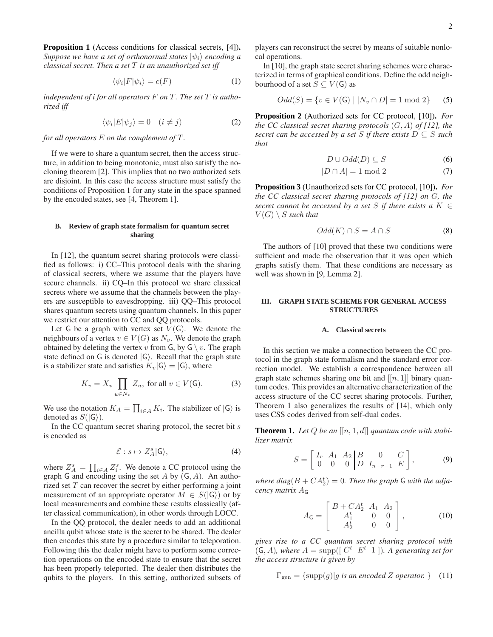**Proposition 1** (Access conditions for classical secrets, [4])**.** *Suppose we have a set of orthonormal states*  $|\psi_i\rangle$  *encoding a classical secret. Then a set* T *is an unauthorized set iff*

$$
\langle \psi_i | F | \psi_i \rangle = c(F) \tag{1}
$$

*independent of i for all operators* F on T. The set T is autho*rized iff*

$$
\langle \psi_i | E | \psi_j \rangle = 0 \quad (i \neq j) \tag{2}
$$

*for all operators* E *on the complement of* T *.*

If we were to share a quantum secret, then the access structure, in addition to being monotonic, must also satisfy the nocloning theorem [2]. This implies that no two authorized sets are disjoint. In this case the access structure must satisfy the conditions of Proposition 1 for any state in the space spanned by the encoded states, see [4, Theorem 1].

### **B. Review of graph state formalism for quantum secret sharing**

In [12], the quantum secret sharing protocols were classified as follows: i) CC–This protocol deals with the sharing of classical secrets, where we assume that the players have secure channels. ii) CQ–In this protocol we share classical secrets where we assume that the channels between the players are susceptible to eavesdropping. iii) QQ–This protocol shares quantum secrets using quantum channels. In this paper we restrict our attention to CC and QQ protocols.

Let G be a graph with vertex set  $V(G)$ . We denote the neighbours of a vertex  $v \in V(G)$  as  $N_v$ . We denote the graph obtained by deleting the vertex v from G, by  $G \setminus v$ . The graph state defined on G is denoted  $|G\rangle$ . Recall that the graph state is a stabilizer state and satisfies  $K_v|\mathsf{G}\rangle = |\mathsf{G}\rangle$ , where

$$
K_v = X_v \prod_{u \in N_v} Z_u, \text{ for all } v \in V(\mathsf{G}). \tag{3}
$$

We use the notation  $K_A = \prod_{i \in A} K_i$ . The stabilizer of  $|G\rangle$  is denoted as  $S(|G\rangle)$ .

In the CC quantum secret sharing protocol, the secret bit s is encoded as

$$
\mathcal{E}: s \mapsto Z_A^s |G\rangle,\tag{4}
$$

where  $Z_A^s = \prod_{i \in A} Z_i^s$ . We denote a CC protocol using the graph G and encoding using the set A by  $(G, A)$ . An authorized set  $T$  can recover the secret by either performing a joint measurement of an appropriate operator  $M \in S(|G\rangle)$  or by local measurements and combine these results classically (after classical communication), in other words through LOCC.

In the QQ protocol, the dealer needs to add an additional ancilla qubit whose state is the secret to be shared. The dealer then encodes this state by a procedure similar to teleporation. Following this the dealer might have to perform some correction operations on the encoded state to ensure that the secret has been properly teleported. The dealer then distributes the qubits to the players. In this setting, authorized subsets of players can reconstruct the secret by means of suitable nonlocal operations.

In [10], the graph state secret sharing schemes were characterized in terms of graphical conditions. Define the odd neighbourhood of a set  $S \subseteq V(G)$  as

$$
Odd(S) = \{v \in V(\mathsf{G}) \mid |N_v \cap D| = 1 \text{ mod } 2\}
$$
 (5)

**Proposition 2** (Authorized sets for CC protocol, [10])**.** *For the CC classical secret sharing protocols* (G, A) *of [12], the secret can be accessed by a set* S *if there exists*  $D \subseteq S$  *such that*

$$
D \cup Odd(D) \subseteq S \tag{6}
$$

$$
|D \cap A| = 1 \bmod 2 \tag{7}
$$

**Proposition 3** (Unauthorized sets for CC protocol, [10])**.** *For the CC classical secret sharing protocols of [12] on* G*, the secret cannot be accessed by a set* S *if there exists a*  $K \in$  $V(G) \setminus S$  *such that* 

$$
Odd(K) \cap S = A \cap S \tag{8}
$$

The authors of [10] proved that these two conditions were sufficient and made the observation that it was open which graphs satisfy them. That these conditions are necessary as well was shown in [9, Lemma 2].

## **III. GRAPH STATE SCHEME FOR GENERAL ACCESS STRUCTURES**

### **A. Classical secrets**

In this section we make a connection between the CC protocol in the graph state formalism and the standard error correction model. We establish a correspondence between all graph state schemes sharing one bit and  $[[n, 1]]$  binary quantum codes. This provides an alternative characterization of the access structure of the CC secret sharing protocols. Further, Theorem 1 also generalizes the results of [14], which only uses CSS codes derived from self-dual codes.

**Theorem 1.** Let  $Q$  be an  $[[n, 1, d]]$  quantum code with stabi*lizer matrix*

$$
S = \begin{bmatrix} I_r & A_1 & A_2 & B & 0 & C \\ 0 & 0 & 0 & D & I_{n-r-1} & E \end{bmatrix},
$$
 (9)

where  $diag(B+CA_2^t)=0$ . Then the graph G with the adja*cency matrix* A<sup>G</sup>

$$
A_{\mathsf{G}} = \begin{bmatrix} B + CA_2^t & A_1 & A_2 \\ A_1^t & 0 & 0 \\ A_2^t & 0 & 0 \end{bmatrix},\tag{10}
$$

*gives rise to a CC quantum secret sharing protocol with*  $(G, A)$ *, where*  $A = \text{supp}([C^t E^t 1])$ *. A generating set for the access structure is given by*

$$
\Gamma_{\text{gen}} = {\text{supp}(g)|g \text{ is an encoded } Z \text{ operator. }}
$$
(11)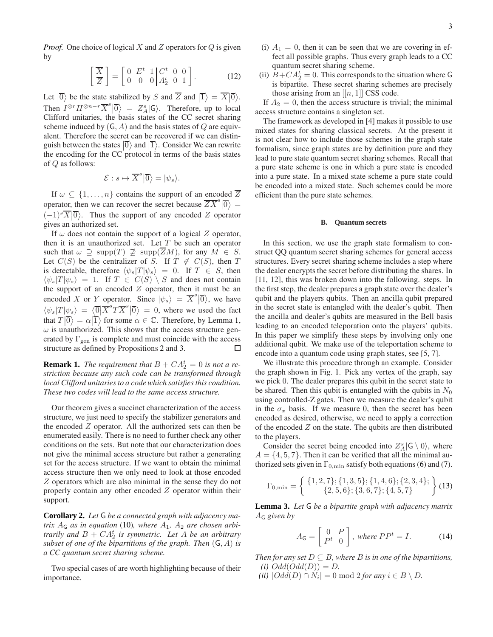*Proof.* One choice of logical X and Z operators for Q is given by

$$
\left[\frac{\overline{X}}{Z}\right] = \left[\begin{array}{ccc} 0 & E^t & 1 & C^t & 0 & 0 \\ 0 & 0 & 0 & A_2^t & 0 & 1 \end{array}\right].\tag{12}
$$

Let  $|\overline{0}\rangle$  be the state stabilized by S and  $\overline{Z}$  and  $|\overline{1}\rangle = \overline{X}|\overline{0}\rangle$ . Then  $I^{\otimes r} H^{\otimes n-r} \overline{X}^s | \overline{0} \rangle = Z^s_A | \overline{G} \rangle$ . Therefore, up to local Clifford unitarials the contract of the CG second sharing Clifford unitaries, the basis states of the CC secret sharing scheme induced by  $(G, A)$  and the basis states of Q are equivalent. Therefore the secret can be recovered if we can distinguish between the states  $|\overline{0}\rangle$  and  $|\overline{1}\rangle$ . Consider We can rewrite the encoding for the CC protocol in terms of the basis states of Q as follows:

$$
\mathcal{E}: s \mapsto \overline{X}^s \big| \overline{0} \big\rangle = |\psi_s\rangle.
$$

If  $\omega \subseteq \{1, \ldots, n\}$  contains the support of an encoded  $\overline{Z}$ operator, then we can recover the secret because  $\overline{ZX}^s |0\rangle =$  $(-1)^s\overline{X}\vert\overline{0}\rangle$ . Thus the support of any encoded Z operator gives an authorized set.

If  $\omega$  does not contain the support of a logical Z operator, then it is an unauthorized set. Let  $T$  be such an operator such that  $\omega \supseteq \text{supp}(T) \not\supseteq \text{supp}(\overline{Z}M)$ , for any  $M \in S$ . Let  $C(S)$  be the centralizer of S. If  $T \notin C(S)$ , then T is detectable, therefore  $\langle \psi_s | T | \psi_s \rangle = 0$ . If  $T \in S$ , then  $\langle \psi_s | T | \psi_s \rangle = 1$ . If  $T \in C(S) \setminus S$  and does not contain the support of an encoded  $Z$  operator, then it must be an encoded X or Y operator. Since  $|\psi_s\rangle = \overline{X}^s |\overline{0}\rangle$ , we have  $\langle \psi_s | T | \psi_s \rangle = \langle \overline{0} | \overline{X}^s T \overline{X}^s | \overline{0} \rangle = 0$ , where we used the fact that  $T|\overline{0}\rangle = \alpha|\overline{1}\rangle$  for some  $\alpha \in \mathbb{C}$ . Therefore, by Lemma 1,  $\omega$  is unauthorized. This shows that the access structure generated by  $\Gamma_{\text{gen}}$  is complete and must coincide with the access structure as defined by Propositions 2 and 3. □

**Remark 1.** The requirement that  $B + CA_2^t = 0$  is not a re*striction because any such code can be transformed through local Clifford unitaries to a code which satisfies this condition. These two codes will lead to the same access structure.*

Our theorem gives a succinct characterization of the access structure, we just need to specify the stabilizer generators and the encoded Z operator. All the authorized sets can then be enumerated easily. There is no need to further check any other conditions on the sets. But note that our characterization does not give the minimal access structure but rather a generating set for the access structure. If we want to obtain the minimal access structure then we only need to look at those encoded Z operators which are also minimal in the sense they do not properly contain any other encoded Z operator within their support.

**Corollary 2.** *Let* G *be a connected graph with adjacency matrix*  $A_G$  *as in equation* (10)*, where*  $A_1$ *,*  $A_2$  *are chosen arbitrarily and*  $B + CA_2^t$  *is symmetric. Let* A *be an arbitrary subset of one of the bipartitions of the graph. Then* (G, A) *is a CC quantum secret sharing scheme.*

Two special cases of are worth highlighting because of their importance.

- (i)  $A_1 = 0$ , then it can be seen that we are covering in effect all possible graphs. Thus every graph leads to a CC quantum secret sharing scheme.
- (ii)  $\hat{B} + CA_2^t = 0$ . This corresponds to the situation where G is bipartite. These secret sharing schemes are precisely those arising from an  $[[n, 1]]$  CSS code.

If  $A_2 = 0$ , then the access structure is trivial; the minimal access structure contains a singleton set.

The framework as developed in [4] makes it possible to use mixed states for sharing classical secrets. At the present it is not clear how to include those schemes in the graph state formalism, since graph states are by definition pure and they lead to pure state quantum secret sharing schemes. Recall that a pure state scheme is one in which a pure state is encoded into a pure state. In a mixed state scheme a pure state could be encoded into a mixed state. Such schemes could be more efficient than the pure state schemes.

### **B. Quantum secrets**

In this section, we use the graph state formalism to construct QQ quantum secret sharing schemes for general access structures. Every secret sharing scheme includes a step where the dealer encrypts the secret before distributing the shares. In [11, 12], this was broken down into the following. steps. In the first step, the dealer prepares a graph state over the dealer's qubit and the players qubits. Then an ancilla qubit prepared in the secret state is entangled with the dealer's qubit. Then the ancilla and dealer's qubits are measured in the Bell basis leading to an encoded teleporation onto the players' qubits. In this paper we simplify these steps by involving only one additional qubit. We make use of the teleportation scheme to encode into a quantum code using graph states, see [5, 7].

We illustrate this procedure through an example. Consider the graph shown in Fig. 1. Pick any vertex of the graph, say we pick 0. The dealer prepares this qubit in the secret state to be shared. Then this qubit is entangled with the qubits in  $N_0$ using controlled-Z gates. Then we measure the dealer's qubit in the  $\sigma_x$  basis. If we measure 0, then the secret has been encoded as desired, otherwise, we need to apply a correction of the encoded  $Z$  on the state. The qubits are then distributed to the players.

Consider the secret being encoded into  $Z_A^s$ |G \ 0), where  $A = \{4, 5, 7\}$ . Then it can be verified that all the minimal authorized sets given in  $\Gamma_{0,\text{min}}$  satisfy both equations (6) and (7).

$$
\Gamma_{0,\min} = \left\{ \begin{array}{c} \{1,2,7\}; \{1,3,5\}; \{1,4,6\}; \{2,3,4\}; \\ \{2,5,6\}; \{3,6,7\}; \{4,5,7\} \end{array} \right\} (13)
$$

**Lemma 3.** *Let* G *be a bipartite graph with adjacency matrix* A<sup>G</sup> *given by*

$$
A_{\mathsf{G}} = \left[ \begin{array}{cc} 0 & P \\ P^t & 0 \end{array} \right], \text{ where } PP^t = I. \tag{14}
$$

*Then for any set*  $D \subseteq B$ *, where*  $B$  *is in one of the bipartitions,*  $(i)$   $Odd(Odd(D)) = D$ .

 $(iii)$   $|Odd(D) \cap N_i| = 0 \text{ mod } 2$  *for any*  $i \in B \setminus D$ *.*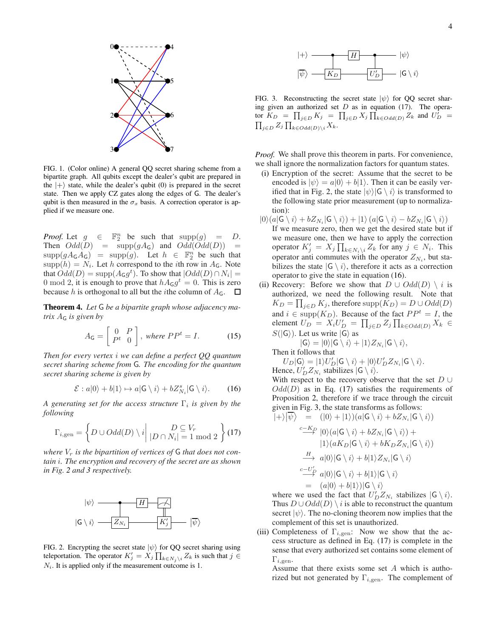

FIG. 1. (Color online) A general QQ secret sharing scheme from a bipartite graph. All qubits except the dealer's qubit are prepared in the  $|+\rangle$  state, while the dealer's qubit (0) is prepared in the secret state. Then we apply CZ gates along the edges of G. The dealer's qubit is then measured in the  $\sigma_x$  basis. A correction operator is applied if we measure one.

*Proof.* Let  $g \in \mathbb{F}_2^n$  be such that  $\text{supp}(g) = D$ . Then  $Odd(D) = supp(gA_G)$  and  $Odd(Odd(D)) =$  $\text{supp}(gA_{\mathsf{G}}A_{\mathsf{G}}) = \text{supp}(g)$ . Let  $h \in \mathbb{F}_2^n$  be such that  $\text{supp}(h) = N_i$ . Let h correspond to the *i*th row in  $A_{\mathsf{G}}$ . Note that  $Odd(D) = \text{supp}(A_G g^t)$ . To show that  $|Odd(D) \cap N_i| =$ 0 mod 2, it is enough to prove that  $hA_{\mathsf{G}}g^t = 0$ . This is zero because h is orthogonal to all but the *i*the column of  $A_G$ .  $\Box$ 

**Theorem 4.** *Let* G *be a bipartite graph whose adjacency matrix* A<sup>G</sup> *is given by*

$$
A_{\mathsf{G}} = \left[ \begin{array}{cc} 0 & P \\ P^t & 0 \end{array} \right], \text{ where } PP^t = I. \tag{15}
$$

*Then for every vertex* i *we can define a perfect QQ quantum secret sharing scheme from* G*. The encoding for the quantum secret sharing scheme is given by*

$$
\mathcal{E}: a|0\rangle + b|1\rangle \mapsto a|\mathsf{G}\setminus i\rangle + bZ_{N_i}^s|\mathsf{G}\setminus i\rangle. \tag{16}
$$

*A generating set for the access structure* Γ<sup>i</sup> *is given by the following*

$$
\Gamma_{i,\text{gen}} = \left\{ D \cup Odd(D) \setminus i \middle| D \cap N_i \middle| = 1 \text{ mod } 2 \right\} (17)
$$

where  $V_r$  is the bipartition of vertices of  $G$  that does not con*tain* i*. The encryption and recovery of the secret are as shown in Fig. 2 and 3 respectively.*



FIG. 2. Encrypting the secret state  $|\psi\rangle$  for QQ secret sharing using teleportation. The operator  $K'_j = X_j \prod_{k \in N_j \setminus i} Z_k$  is such that  $j \in$  $N_i$ . It is applied only if the measurement outcome is 1.



FIG. 3. Reconstructing the secret state  $|\psi\rangle$  for QQ secret sharing given an authorized set  $D$  as in equation (17). The operator  $K_D = \prod_{j \in D} K_j = \prod_{j \in D} X_j \prod_{k \in Odd(D)} Z_k$  and  $U_D^j =$  $\prod_{j\in D} Z_j \prod_{k\in Odd(D)\setminus i} X_k.$ 

*Proof.* We shall prove this theorem in parts. For convenience, we shall ignore the normalization factors for quantum states.

- (i) Encryption of the secret: Assume that the secret to be encoded is  $|\psi\rangle = a|0\rangle + b|1\rangle$ . Then it can be easily verified that in Fig. 2, the state  $|\psi\rangle|G \setminus i\rangle$  is transformed to the following state prior measurement (up to normalization):
- $|0\rangle (a|\mathsf{G} \setminus i \rangle + bZ_{N_i}|\mathsf{G} \setminus i \rangle) + |1\rangle (a|\mathsf{G} \setminus i \rangle bZ_{N_i}|\mathsf{G} \setminus i \rangle)$ If we measure zero, then we get the desired state but if we measure one, then we have to apply the correction operator  $K'_j = X_j \prod_{k \in N_i \setminus i} Z_k$  for any  $j \in N_i$ . This operator anti commutes with the operator  $Z_{N_i}$ , but stabilizes the state  $|G \setminus i\rangle$ , therefore it acts as a correction operator to give the state in equation (16).
- (ii) Recovery: Before we show that  $D \cup Odd(D) \setminus i$  is authorized, we need the following result. Note that  $K_D = \prod_{j \in D} K_j$ , therefore  $\mathrm{supp}(K_D) = D \cup Odd(D)$ and  $i \in \text{supp}(K_D)$ . Because of the fact  $PP^t = I$ , the element  $U_D = X_i U'_D = \prod_{j \in D} Z_j \prod_{k \in Odd(D)} X_k$  $S(|G\rangle)$ . Let us write  $|G\rangle$  as
	- $|G\rangle = |0\rangle |G \setminus i\rangle + |1\rangle Z_{N_i} |G \setminus i\rangle,$

Then it follows that

 $U_D|\mathsf{G}\rangle = |1\rangle U_D'|\mathsf{G}\setminus i\rangle + |0\rangle U_D' Z_{N_i}|\mathsf{G}\setminus i\rangle.$ Hence,  $U'_D Z_{N_i}$  stabilizes  $|G \setminus i\rangle$ .

With respect to the recovery observe that the set  $D \cup$  $Odd(D)$  as in Eq. (17) satisfies the requirements of Proposition 2, therefore if we trace through the circuit given in Fig. 3, the state transforms as follows:

$$
|\!+\rangle|\overline{\psi}\rangle = (|0\rangle + |1\rangle)(a|\mathsf{G}\setminus i\rangle + bZ_{N_i}|\mathsf{G}\setminus i\rangle)
$$
  
\n
$$
\xrightarrow{c-K_D} |0\rangle(a|\mathsf{G}\setminus i\rangle + bZ_{N_i}|\mathsf{G}\setminus i\rangle) +
$$
  
\n
$$
|1\rangle(aK_D|\mathsf{G}\setminus i\rangle + bK_D Z_{N_i}|\mathsf{G}\setminus i\rangle)
$$
  
\n
$$
\xrightarrow{H} a|0\rangle|\mathsf{G}\setminus i\rangle + b|1\rangle Z_{N_i}|\mathsf{G}\setminus i\rangle
$$
  
\n
$$
\xrightarrow{c-U_D'} a|0\rangle|\mathsf{G}\setminus i\rangle + b|1\rangle|\mathsf{G}\setminus i\rangle
$$
  
\n
$$
= (a|0\rangle + b|1\rangle)|\mathsf{G}\setminus i\rangle
$$

where we used the fact that  $U'_D Z_{N_i}$  stabilizes  $|G \setminus i\rangle$ . Thus  $D \cup Odd(D) \setminus i$  is able to reconstruct the quantum secret  $|\psi\rangle$ . The no-cloning theorem now implies that the complement of this set is unauthorized.

(iii) Completeness of  $\Gamma_{i,gen}$ : Now we show that the access structure as defined in Eq. (17) is complete in the sense that every authorized set contains some element of  $\Gamma_{i,\text{gen}}$ 

Assume that there exists some set A which is authorized but not generated by  $\Gamma_{i,\text{gen}}$ . The complement of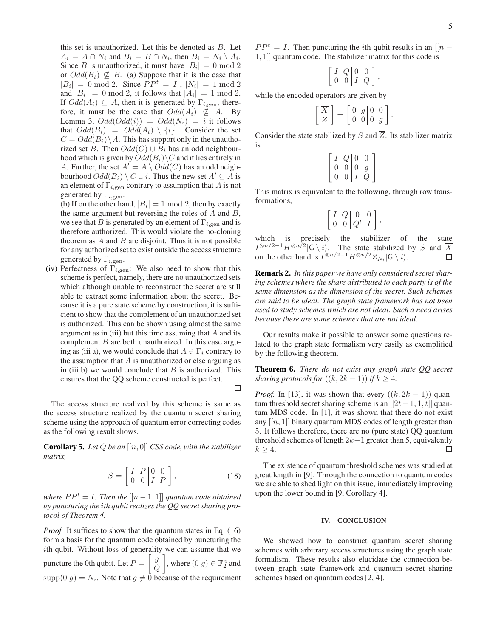this set is unauthorized. Let this be denoted as  $B$ . Let  $A_i = A \cap N_i$  and  $B_i = B \cap N_i$ , then  $B_i = N_i \setminus A_i$ . Since B is unauthorized, it must have  $|B_i| = 0 \text{ mod } 2$ or  $Odd(B_i) \nsubseteq B$ . (a) Suppose that it is the case that  $|B_i| = 0 \mod 2$ . Since  $PP^t = I$ ,  $|N_i| = 1 \mod 2$ and  $|B_i| = 0 \mod 2$ , it follows that  $|A_i| = 1 \mod 2$ . If  $Odd(A_i) \subseteq A$ , then it is generated by  $\Gamma_{i,gen}$ , therefore, it must be the case that  $Odd(A_i) \not\subseteq A$ . By Lemma 3,  $Odd(Odd(i)) = Odd(N_i) = i$  it follows that  $Odd(B_i) = Odd(A_i) \setminus \{i\}$ . Consider the set  $C = Odd(B<sub>i</sub>) \setminus A$ . This has support only in the unauthorized set B. Then  $Odd(C) \cup B_i$  has an odd neighbourhood which is given by  $Odd(B_i)\backslash C$  and it lies entirely in A. Further, the set  $A' = A \setminus Odd(C)$  has an odd neighbourhood  $Odd(B_i) \setminus C \cup i$ . Thus the new set  $A' \subseteq \overline{A}$  is an element of  $\Gamma_{i,gen}$  contrary to assumption that A is not generated by  $\Gamma_{i,\text{gen}}$ .

(b) If on the other hand,  $|B_i| = 1 \bmod 2$ , then by exactly the same argument but reversing the roles of  $A$  and  $B$ , we see that B is generated by an element of  $\Gamma_{i,\text{gen}}$  and is therefore authorized. This would violate the no-cloning theorem as  $A$  and  $B$  are disjoint. Thus it is not possible for any authorized set to exist outside the access structure generated by  $\Gamma_{i,\text{gen}}$ .

(iv) Perfectness of  $\Gamma_{i,gen}$ : We also need to show that this scheme is perfect, namely, there are no unauthorized sets which although unable to reconstruct the secret are still able to extract some information about the secret. Because it is a pure state scheme by construction, it is sufficient to show that the complement of an unauthorized set is authorized. This can be shown using almost the same argument as in (iii) but this time assuming that  $A$  and its complement  $B$  are both unauthorized. In this case arguing as (iii a), we would conclude that  $A \in \Gamma_i$  contrary to the assumption that  $A$  is unauthorized or else arguing as in (iii b) we would conclude that  $B$  is authorized. This ensures that the QQ scheme constructed is perfect.

The access structure realized by this scheme is same as the access structure realized by the quantum secret sharing scheme using the approach of quantum error correcting codes as the following result shows.

**Corollary 5.** *Let* Q *be an* [[n, 0]] *CSS code, with the stabilizer matrix,*

$$
S = \left[ \begin{array}{cc} I & P & 0 & 0 \\ 0 & 0 & I & P \end{array} \right],\tag{18}
$$

 $\Box$ 

*where*  $PP<sup>t</sup> = I$ *. Then the*  $[[n-1,1]]$  *quantum code obtained by puncturing the* i*th qubit realizes the QQ secret sharing protocol of Theorem 4.*

*Proof.* It suffices to show that the quantum states in Eq. (16) form a basis for the quantum code obtained by puncturing the ith qubit. Without loss of generality we can assume that we puncture the 0th qubit. Let  $P = \begin{bmatrix} g \\ g \end{bmatrix}$  $\it{Q}$ , where  $(0|g) \in \mathbb{F}_2^n$  and  $\text{supp}(0|g) = N_i$ . Note that  $g \neq 0$  because of the requirement

 $PP<sup>t</sup> = I$ . Then puncturing the *i*th qubit results in an [[n – 1, 1]] quantum code. The stabilizer matrix for this code is

$$
\left[\begin{array}{cc} I & Q & 0 & 0 \\ 0 & 0 & I & Q \end{array}\right],
$$

while the encoded operators are given by

$$
\left[\frac{\overline{X}}{\overline{Z}}\right] = \left[\begin{array}{cc} 0 & g & 0 & 0 \\ 0 & 0 & 0 & g \end{array}\right].
$$

Consider the state stabilized by S and  $\overline{Z}$ . Its stabilizer matrix is

|                |                                                          | $\overline{0}$ |  |
|----------------|----------------------------------------------------------|----------------|--|
| $\overline{0}$ | $\begin{array}{c c} Q & 0 \\ 0 & 0 \\ 0 & I \end{array}$ | $\mathfrak g$  |  |
| $\overline{0}$ |                                                          | Q              |  |

This matrix is equivalent to the following, through row transformations,

$$
\left[\begin{array}{cc|c} I & Q & 0 & 0 \\ 0 & 0 & Q^t & I \end{array}\right],
$$

which is precisely the stabilizer of the state  $I^{\otimes n/2-1}H^{\otimes n/2}$  | G \ i \intimation S and T \intimation S and T \intimation S and T \intimation S and T \intimation S and T \intimation S and T \intimation S \cdot at 1 \cdot S \cdot at 1 \cdot S \cdot S \cdot at 1 on the other hand is  $I^{\otimes n/2-1}H^{\otimes n/2}Z_{N_i}|G \setminus i\rangle$ .

**Remark 2.** *In this paper we have only considered secret sharing schemes where the share distributed to each party is of the same dimension as the dimension of the secret. Such schemes are said to be ideal. The graph state framework has not been used to study schemes which are not ideal. Such a need arises because there are some schemes that are not ideal.*

Our results make it possible to answer some questions related to the graph state formalism very easily as exemplified by the following theorem.

**Theorem 6.** *There do not exist any graph state QQ secret sharing protocols for*  $((k, 2k - 1))$  *if*  $k \geq 4$ *.* 

*Proof.* In [13], it was shown that every  $((k, 2k - 1))$  quantum threshold secret sharing scheme is an  $[2t - 1, 1, t]$  quantum MDS code. In [1], it was shown that there do not exist any  $[[n, 1]]$  binary quantum MDS codes of length greater than 5. It follows therefore, there are no (pure state) QQ quantum threshold schemes of length 2k−1 greater than 5, equivalently  $k \geq 4$ . П

The existence of quantum threshold schemes was studied at great length in [9]. Through the connection to quantum codes we are able to shed light on this issue, immediately improving upon the lower bound in [9, Corollary 4].

### **IV. CONCLUSION**

We showed how to construct quantum secret sharing schemes with arbitrary access structures using the graph state formalism. These results also elucidate the connection between graph state framework and quantum secret sharing schemes based on quantum codes [2, 4].